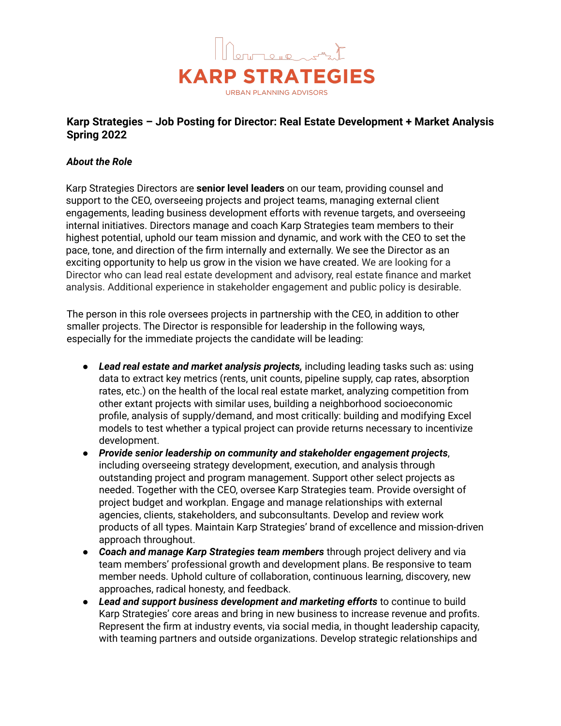

# **Karp Strategies – Job Posting for Director: Real Estate Development + Market Analysis Spring 2022**

## *About the Role*

Karp Strategies Directors are **senior level leaders** on our team, providing counsel and support to the CEO, overseeing projects and project teams, managing external client engagements, leading business development efforts with revenue targets, and overseeing internal initiatives. Directors manage and coach Karp Strategies team members to their highest potential, uphold our team mission and dynamic, and work with the CEO to set the pace, tone, and direction of the firm internally and externally. We see the Director as an exciting opportunity to help us grow in the vision we have created. We are looking for a Director who can lead real estate development and advisory, real estate finance and market analysis. Additional experience in stakeholder engagement and public policy is desirable.

The person in this role oversees projects in partnership with the CEO, in addition to other smaller projects. The Director is responsible for leadership in the following ways, especially for the immediate projects the candidate will be leading:

- *Lead real estate and market analysis projects,* including leading tasks such as: using data to extract key metrics (rents, unit counts, pipeline supply, cap rates, absorption rates, etc.) on the health of the local real estate market, analyzing competition from other extant projects with similar uses, building a neighborhood socioeconomic profile, analysis of supply/demand, and most critically: building and modifying Excel models to test whether a typical project can provide returns necessary to incentivize development.
- *Provide senior leadership on community and stakeholder engagement projects*, including overseeing strategy development, execution, and analysis through outstanding project and program management. Support other select projects as needed. Together with the CEO, oversee Karp Strategies team. Provide oversight of project budget and workplan. Engage and manage relationships with external agencies, clients, stakeholders, and subconsultants. Develop and review work products of all types. Maintain Karp Strategies' brand of excellence and mission-driven approach throughout.
- *Coach and manage Karp Strategies team members* through project delivery and via team members' professional growth and development plans. Be responsive to team member needs. Uphold culture of collaboration, continuous learning, discovery, new approaches, radical honesty, and feedback.
- *Lead and support business development and marketing efforts* to continue to build Karp Strategies' core areas and bring in new business to increase revenue and profits. Represent the firm at industry events, via social media, in thought leadership capacity, with teaming partners and outside organizations. Develop strategic relationships and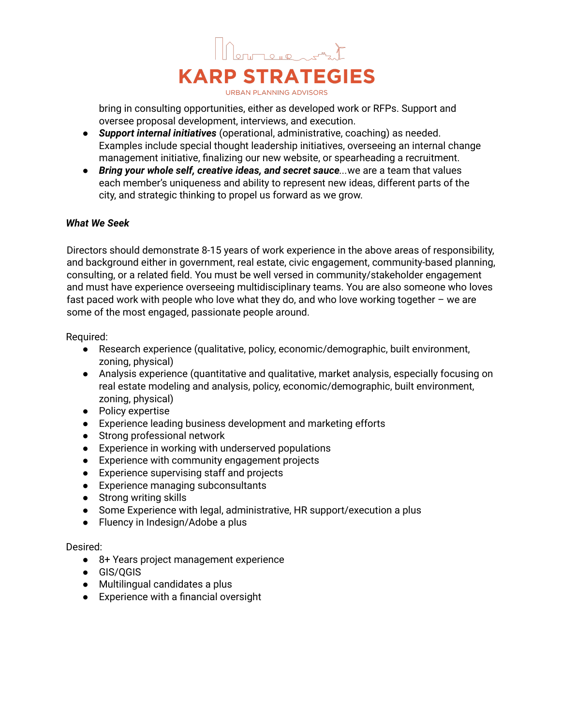

bring in consulting opportunities, either as developed work or RFPs. Support and oversee proposal development, interviews, and execution.

- *Support internal initiatives* (operational, administrative, coaching) as needed. Examples include special thought leadership initiatives, overseeing an internal change management initiative, finalizing our new website, or spearheading a recruitment.
- *Bring your whole self, creative ideas, and secret sauce...*we are a team that values each member's uniqueness and ability to represent new ideas, different parts of the city, and strategic thinking to propel us forward as we grow.

## *What We Seek*

Directors should demonstrate 8-15 years of work experience in the above areas of responsibility, and background either in government, real estate, civic engagement, community-based planning, consulting, or a related field. You must be well versed in community/stakeholder engagement and must have experience overseeing multidisciplinary teams. You are also someone who loves fast paced work with people who love what they do, and who love working together – we are some of the most engaged, passionate people around.

Required:

- Research experience (qualitative, policy, economic/demographic, built environment, zoning, physical)
- Analysis experience (quantitative and qualitative, market analysis, especially focusing on real estate modeling and analysis, policy, economic/demographic, built environment, zoning, physical)
- Policy expertise
- Experience leading business development and marketing efforts
- Strong professional network
- Experience in working with underserved populations
- Experience with community engagement projects
- Experience supervising staff and projects
- Experience managing subconsultants
- Strong writing skills
- Some Experience with legal, administrative, HR support/execution a plus
- Fluency in Indesign/Adobe a plus

#### Desired:

- 8+ Years project management experience
- GIS/QGIS
- Multilingual candidates a plus
- Experience with a financial oversight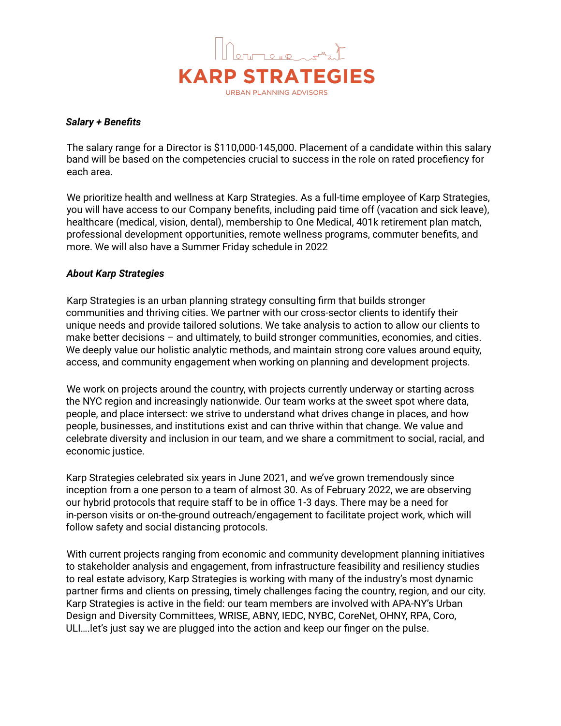

#### *Salary + Benefits*

The salary range for a Director is \$110,000-145,000. Placement of a candidate within this salary band will be based on the competencies crucial to success in the role on rated procefiency for each area.

We prioritize health and wellness at Karp Strategies. As a full-time employee of Karp Strategies, you will have access to our Company benefits, including paid time off (vacation and sick leave), healthcare (medical, vision, dental), membership to One Medical, 401k retirement plan match, professional development opportunities, remote wellness programs, commuter benefits, and more. We will also have a Summer Friday schedule in 2022

## *About Karp Strategies*

Karp Strategies is an urban planning strategy consulting firm that builds stronger communities and thriving cities. We partner with our cross-sector clients to identify their unique needs and provide tailored solutions. We take analysis to action to allow our clients to make better decisions – and ultimately, to build stronger communities, economies, and cities. We deeply value our holistic analytic methods, and maintain strong core values around equity, access, and community engagement when working on planning and development projects.

We work on projects around the country, with projects currently underway or starting across the NYC region and increasingly nationwide. Our team works at the sweet spot where data, people, and place intersect: we strive to understand what drives change in places, and how people, businesses, and institutions exist and can thrive within that change. We value and celebrate diversity and inclusion in our team, and we share a commitment to social, racial, and economic justice.

Karp Strategies celebrated six years in June 2021, and we've grown tremendously since inception from a one person to a team of almost 30. As of February 2022, we are observing our hybrid protocols that require staff to be in office 1-3 days. There may be a need for in-person visits or on-the-ground outreach/engagement to facilitate project work, which will follow safety and social distancing protocols.

With current projects ranging from economic and community development planning initiatives to stakeholder analysis and engagement, from infrastructure feasibility and resiliency studies to real estate advisory, Karp Strategies is working with many of the industry's most dynamic partner firms and clients on pressing, timely challenges facing the country, region, and our city. Karp Strategies is active in the field: our team members are involved with APA-NY's Urban Design and Diversity Committees, WRISE, ABNY, IEDC, NYBC, CoreNet, OHNY, RPA, Coro, ULI….let's just say we are plugged into the action and keep our finger on the pulse.